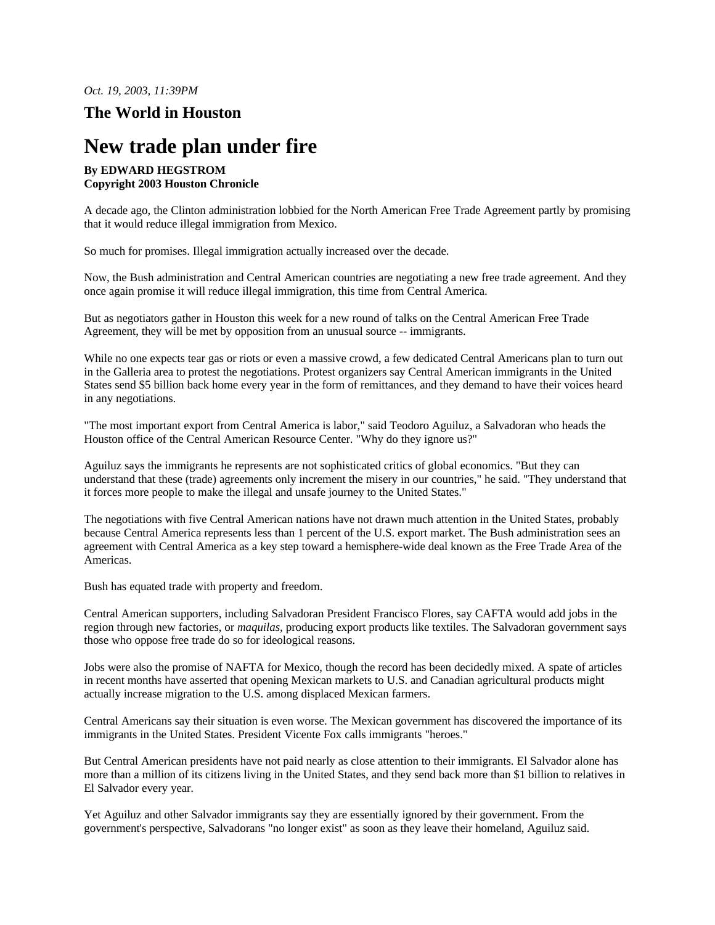*Oct. 19, 2003, 11:39PM*

## **The World in Houston**

## **New trade plan under fire**

## **By EDWARD HEGSTROM Copyright 2003 Houston Chronicle**

A decade ago, the Clinton administration lobbied for the North American Free Trade Agreement partly by promising that it would reduce illegal immigration from Mexico.

So much for promises. Illegal immigration actually increased over the decade.

Now, the Bush administration and Central American countries are negotiating a new free trade agreement. And they once again promise it will reduce illegal immigration, this time from Central America.

But as negotiators gather in Houston this week for a new round of talks on the Central American Free Trade Agreement, they will be met by opposition from an unusual source -- immigrants.

While no one expects tear gas or riots or even a massive crowd, a few dedicated Central Americans plan to turn out in the Galleria area to protest the negotiations. Protest organizers say Central American immigrants in the United States send \$5 billion back home every year in the form of remittances, and they demand to have their voices heard in any negotiations.

"The most important export from Central America is labor," said Teodoro Aguiluz, a Salvadoran who heads the Houston office of the Central American Resource Center. "Why do they ignore us?"

Aguiluz says the immigrants he represents are not sophisticated critics of global economics. "But they can understand that these (trade) agreements only increment the misery in our countries," he said. "They understand that it forces more people to make the illegal and unsafe journey to the United States."

The negotiations with five Central American nations have not drawn much attention in the United States, probably because Central America represents less than 1 percent of the U.S. export market. The Bush administration sees an agreement with Central America as a key step toward a hemisphere-wide deal known as the Free Trade Area of the Americas.

Bush has equated trade with property and freedom.

Central American supporters, including Salvadoran President Francisco Flores, say CAFTA would add jobs in the region through new factories, or *maquilas,* producing export products like textiles. The Salvadoran government says those who oppose free trade do so for ideological reasons.

Jobs were also the promise of NAFTA for Mexico, though the record has been decidedly mixed. A spate of articles in recent months have asserted that opening Mexican markets to U.S. and Canadian agricultural products might actually increase migration to the U.S. among displaced Mexican farmers.

Central Americans say their situation is even worse. The Mexican government has discovered the importance of its immigrants in the United States. President Vicente Fox calls immigrants "heroes."

But Central American presidents have not paid nearly as close attention to their immigrants. El Salvador alone has more than a million of its citizens living in the United States, and they send back more than \$1 billion to relatives in El Salvador every year.

Yet Aguiluz and other Salvador immigrants say they are essentially ignored by their government. From the government's perspective, Salvadorans "no longer exist" as soon as they leave their homeland, Aguiluz said.